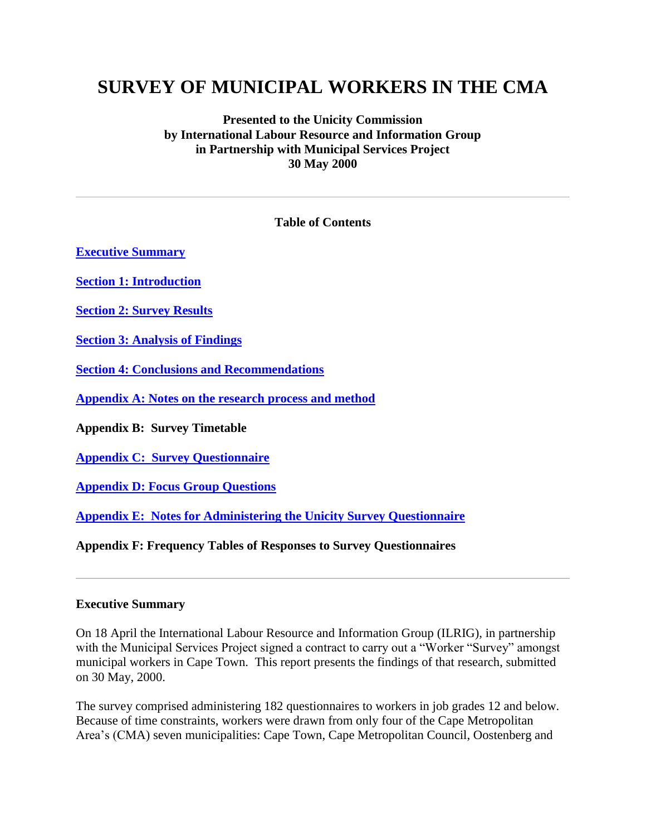# **SURVEY OF MUNICIPAL WORKERS IN THE CMA**

## **Presented to the Unicity Commission by International Labour Resource and Information Group in Partnership with Municipal Services Project 30 May 2000**

#### **Table of Contents**

**[Executive Summary](http://www.queensu.ca/msp/pages/Project_Publications/Reports/survey.htm#Executive%20Summary)**

**[Section 1: Introduction](http://www.queensu.ca/msp/pages/Project_Publications/Reports/survey.htm#Section%201:%20Introduction)**

**[Section 2: Survey Results](http://www.queensu.ca/msp/pages/Project_Publications/Reports/survey.htm#Section%202:%20Survey%20Results)**

**[Section 3: Analysis of Findings](http://www.queensu.ca/msp/pages/Project_Publications/Reports/survey.htm#SECTION%203:%20Analysis%20of%20Findings)**

**[Section 4: Conclusions and Recommendations](http://www.queensu.ca/msp/pages/Project_Publications/Reports/survey.htm#Section%204:%C2%A0%20Conclusions%20and%20recommendations)**

**[Appendix A: Notes on the research process and method](http://www.queensu.ca/msp/pages/Project_Publications/Reports/survey.htm#Appendix%20A:%20Notes%20on%20the%20Research%20Process%20and%20Method)**

**Appendix B: Survey Timetable** 

**Appendix C: [Survey Questionnaire](http://www.queensu.ca/msp/pages/Project_Publications/Reports/survey.htm#Appendix%20C:%20Survey%20Questionnaire)**

**[Appendix D: Focus Group Questions](http://www.queensu.ca/msp/pages/Project_Publications/Reports/survey.htm#Appendix%20D:)** 

**Appendix E: [Notes for Administering the Unicity Survey Questionnaire](http://www.queensu.ca/msp/pages/Project_Publications/Reports/survey.htm#Appendix%20E:)**

**Appendix F: Frequency Tables of Responses to Survey Questionnaires** 

#### **Executive Summary**

On 18 April the International Labour Resource and Information Group (ILRIG), in partnership with the Municipal Services Project signed a contract to carry out a "Worker "Survey" amongst municipal workers in Cape Town. This report presents the findings of that research, submitted on 30 May, 2000.

The survey comprised administering 182 questionnaires to workers in job grades 12 and below. Because of time constraints, workers were drawn from only four of the Cape Metropolitan Area's (CMA) seven municipalities: Cape Town, Cape Metropolitan Council, Oostenberg and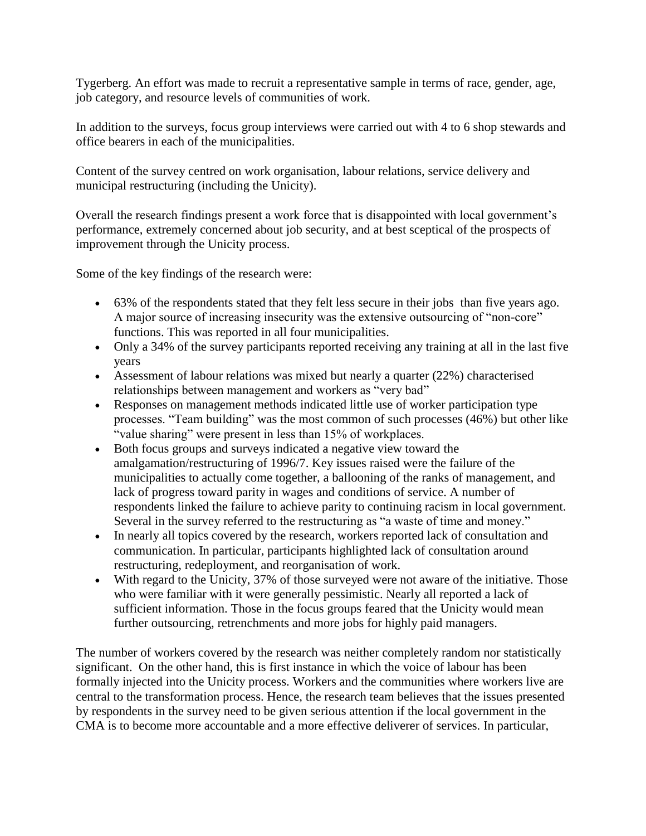Tygerberg. An effort was made to recruit a representative sample in terms of race, gender, age, job category, and resource levels of communities of work.

In addition to the surveys, focus group interviews were carried out with 4 to 6 shop stewards and office bearers in each of the municipalities.

Content of the survey centred on work organisation, labour relations, service delivery and municipal restructuring (including the Unicity).

Overall the research findings present a work force that is disappointed with local government's performance, extremely concerned about job security, and at best sceptical of the prospects of improvement through the Unicity process.

Some of the key findings of the research were:

- 63% of the respondents stated that they felt less secure in their jobs than five years ago. A major source of increasing insecurity was the extensive outsourcing of "non-core" functions. This was reported in all four municipalities.
- Only a 34% of the survey participants reported receiving any training at all in the last five years
- Assessment of labour relations was mixed but nearly a quarter (22%) characterised relationships between management and workers as "very bad"
- Responses on management methods indicated little use of worker participation type processes. "Team building" was the most common of such processes (46%) but other like "value sharing" were present in less than 15% of workplaces.
- Both focus groups and surveys indicated a negative view toward the amalgamation/restructuring of 1996/7. Key issues raised were the failure of the municipalities to actually come together, a ballooning of the ranks of management, and lack of progress toward parity in wages and conditions of service. A number of respondents linked the failure to achieve parity to continuing racism in local government. Several in the survey referred to the restructuring as "a waste of time and money."
- In nearly all topics covered by the research, workers reported lack of consultation and communication. In particular, participants highlighted lack of consultation around restructuring, redeployment, and reorganisation of work.
- With regard to the Unicity, 37% of those surveyed were not aware of the initiative. Those who were familiar with it were generally pessimistic. Nearly all reported a lack of sufficient information. Those in the focus groups feared that the Unicity would mean further outsourcing, retrenchments and more jobs for highly paid managers.

The number of workers covered by the research was neither completely random nor statistically significant. On the other hand, this is first instance in which the voice of labour has been formally injected into the Unicity process. Workers and the communities where workers live are central to the transformation process. Hence, the research team believes that the issues presented by respondents in the survey need to be given serious attention if the local government in the CMA is to become more accountable and a more effective deliverer of services. In particular,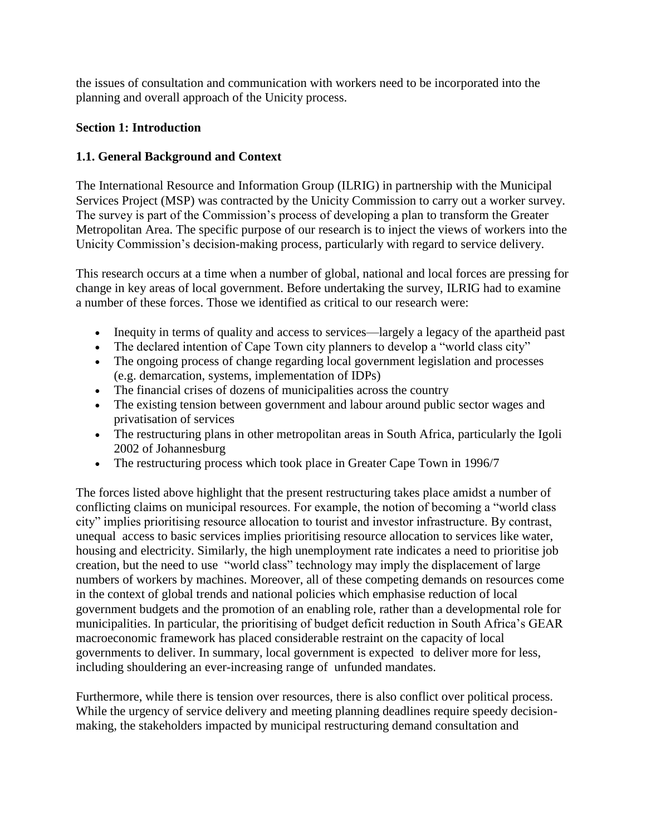the issues of consultation and communication with workers need to be incorporated into the planning and overall approach of the Unicity process.

# **Section 1: Introduction**

# **1.1. General Background and Context**

The International Resource and Information Group (ILRIG) in partnership with the Municipal Services Project (MSP) was contracted by the Unicity Commission to carry out a worker survey. The survey is part of the Commission's process of developing a plan to transform the Greater Metropolitan Area. The specific purpose of our research is to inject the views of workers into the Unicity Commission's decision-making process, particularly with regard to service delivery.

This research occurs at a time when a number of global, national and local forces are pressing for change in key areas of local government. Before undertaking the survey, ILRIG had to examine a number of these forces. Those we identified as critical to our research were:

- Inequity in terms of quality and access to services—largely a legacy of the apartheid past
- The declared intention of Cape Town city planners to develop a "world class city"
- The ongoing process of change regarding local government legislation and processes (e.g. demarcation, systems, implementation of IDPs)
- The financial crises of dozens of municipalities across the country
- The existing tension between government and labour around public sector wages and privatisation of services
- The restructuring plans in other metropolitan areas in South Africa, particularly the Igoli 2002 of Johannesburg
- The restructuring process which took place in Greater Cape Town in 1996/7

The forces listed above highlight that the present restructuring takes place amidst a number of conflicting claims on municipal resources. For example, the notion of becoming a "world class city" implies prioritising resource allocation to tourist and investor infrastructure. By contrast, unequal access to basic services implies prioritising resource allocation to services like water, housing and electricity. Similarly, the high unemployment rate indicates a need to prioritise job creation, but the need to use "world class" technology may imply the displacement of large numbers of workers by machines. Moreover, all of these competing demands on resources come in the context of global trends and national policies which emphasise reduction of local government budgets and the promotion of an enabling role, rather than a developmental role for municipalities. In particular, the prioritising of budget deficit reduction in South Africa's GEAR macroeconomic framework has placed considerable restraint on the capacity of local governments to deliver. In summary, local government is expected to deliver more for less, including shouldering an ever-increasing range of unfunded mandates.

Furthermore, while there is tension over resources, there is also conflict over political process. While the urgency of service delivery and meeting planning deadlines require speedy decisionmaking, the stakeholders impacted by municipal restructuring demand consultation and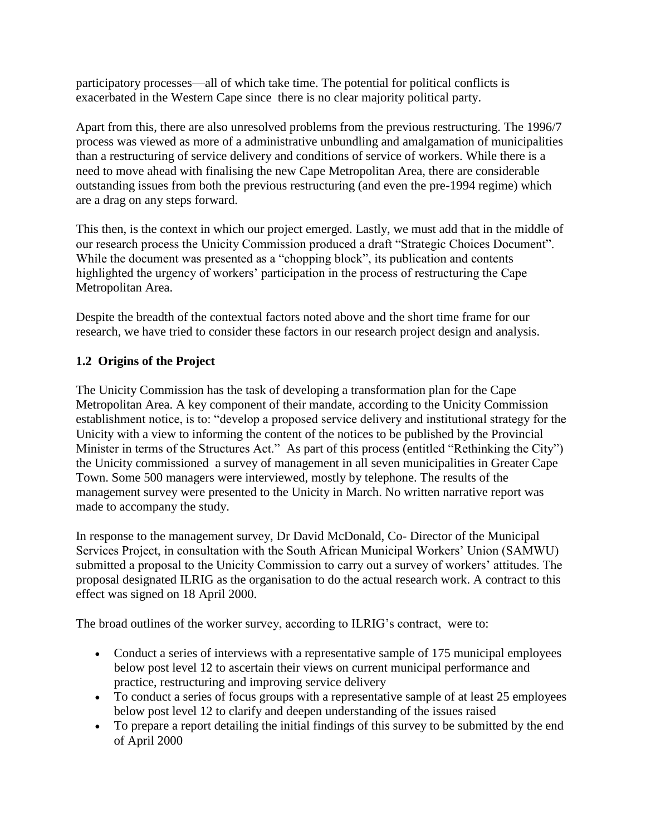participatory processes—all of which take time. The potential for political conflicts is exacerbated in the Western Cape since there is no clear majority political party.

Apart from this, there are also unresolved problems from the previous restructuring. The 1996/7 process was viewed as more of a administrative unbundling and amalgamation of municipalities than a restructuring of service delivery and conditions of service of workers. While there is a need to move ahead with finalising the new Cape Metropolitan Area, there are considerable outstanding issues from both the previous restructuring (and even the pre-1994 regime) which are a drag on any steps forward.

This then, is the context in which our project emerged. Lastly, we must add that in the middle of our research process the Unicity Commission produced a draft "Strategic Choices Document". While the document was presented as a "chopping block", its publication and contents highlighted the urgency of workers' participation in the process of restructuring the Cape Metropolitan Area.

Despite the breadth of the contextual factors noted above and the short time frame for our research, we have tried to consider these factors in our research project design and analysis.

## **1.2 Origins of the Project**

The Unicity Commission has the task of developing a transformation plan for the Cape Metropolitan Area. A key component of their mandate, according to the Unicity Commission establishment notice, is to: "develop a proposed service delivery and institutional strategy for the Unicity with a view to informing the content of the notices to be published by the Provincial Minister in terms of the Structures Act." As part of this process (entitled "Rethinking the City") the Unicity commissioned a survey of management in all seven municipalities in Greater Cape Town. Some 500 managers were interviewed, mostly by telephone. The results of the management survey were presented to the Unicity in March. No written narrative report was made to accompany the study.

In response to the management survey, Dr David McDonald, Co- Director of the Municipal Services Project, in consultation with the South African Municipal Workers' Union (SAMWU) submitted a proposal to the Unicity Commission to carry out a survey of workers' attitudes. The proposal designated ILRIG as the organisation to do the actual research work. A contract to this effect was signed on 18 April 2000.

The broad outlines of the worker survey, according to ILRIG's contract, were to:

- Conduct a series of interviews with a representative sample of 175 municipal employees below post level 12 to ascertain their views on current municipal performance and practice, restructuring and improving service delivery
- To conduct a series of focus groups with a representative sample of at least 25 employees below post level 12 to clarify and deepen understanding of the issues raised
- To prepare a report detailing the initial findings of this survey to be submitted by the end of April 2000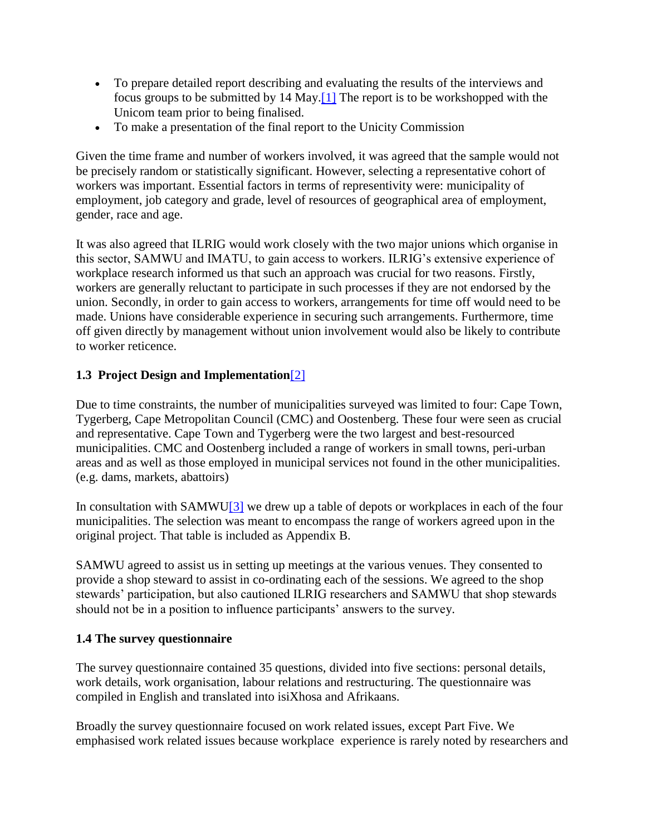- To prepare detailed report describing and evaluating the results of the interviews and focus groups to be submitted by 14 May[.\[1\]](http://www.queensu.ca/msp/pages/Project_Publications/Reports/survey.htm#_ftn1) The report is to be workshopped with the Unicom team prior to being finalised.
- To make a presentation of the final report to the Unicity Commission

Given the time frame and number of workers involved, it was agreed that the sample would not be precisely random or statistically significant. However, selecting a representative cohort of workers was important. Essential factors in terms of representivity were: municipality of employment, job category and grade, level of resources of geographical area of employment, gender, race and age.

It was also agreed that ILRIG would work closely with the two major unions which organise in this sector, SAMWU and IMATU, to gain access to workers. ILRIG's extensive experience of workplace research informed us that such an approach was crucial for two reasons. Firstly, workers are generally reluctant to participate in such processes if they are not endorsed by the union. Secondly, in order to gain access to workers, arrangements for time off would need to be made. Unions have considerable experience in securing such arrangements. Furthermore, time off given directly by management without union involvement would also be likely to contribute to worker reticence.

## **1.3 Project Design and Implementation**[\[2\]](http://www.queensu.ca/msp/pages/Project_Publications/Reports/survey.htm#_ftn2)

Due to time constraints, the number of municipalities surveyed was limited to four: Cape Town, Tygerberg, Cape Metropolitan Council (CMC) and Oostenberg. These four were seen as crucial and representative. Cape Town and Tygerberg were the two largest and best-resourced municipalities. CMC and Oostenberg included a range of workers in small towns, peri-urban areas and as well as those employed in municipal services not found in the other municipalities. (e.g. dams, markets, abattoirs)

In consultation with SAMWU $[3]$  we drew up a table of depots or workplaces in each of the four municipalities. The selection was meant to encompass the range of workers agreed upon in the original project. That table is included as Appendix B.

SAMWU agreed to assist us in setting up meetings at the various venues. They consented to provide a shop steward to assist in co-ordinating each of the sessions. We agreed to the shop stewards' participation, but also cautioned ILRIG researchers and SAMWU that shop stewards should not be in a position to influence participants' answers to the survey.

#### **1.4 The survey questionnaire**

The survey questionnaire contained 35 questions, divided into five sections: personal details, work details, work organisation, labour relations and restructuring. The questionnaire was compiled in English and translated into isiXhosa and Afrikaans.

Broadly the survey questionnaire focused on work related issues, except Part Five. We emphasised work related issues because workplace experience is rarely noted by researchers and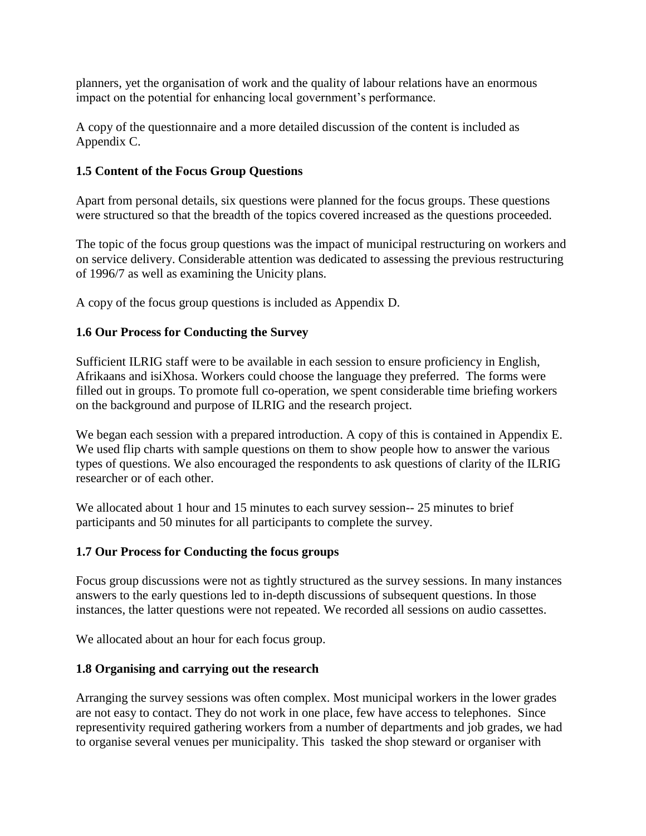planners, yet the organisation of work and the quality of labour relations have an enormous impact on the potential for enhancing local government's performance.

A copy of the questionnaire and a more detailed discussion of the content is included as Appendix C.

# **1.5 Content of the Focus Group Questions**

Apart from personal details, six questions were planned for the focus groups. These questions were structured so that the breadth of the topics covered increased as the questions proceeded.

The topic of the focus group questions was the impact of municipal restructuring on workers and on service delivery. Considerable attention was dedicated to assessing the previous restructuring of 1996/7 as well as examining the Unicity plans.

A copy of the focus group questions is included as Appendix D.

## **1.6 Our Process for Conducting the Survey**

Sufficient ILRIG staff were to be available in each session to ensure proficiency in English, Afrikaans and isiXhosa. Workers could choose the language they preferred. The forms were filled out in groups. To promote full co-operation, we spent considerable time briefing workers on the background and purpose of ILRIG and the research project.

We began each session with a prepared introduction. A copy of this is contained in Appendix E. We used flip charts with sample questions on them to show people how to answer the various types of questions. We also encouraged the respondents to ask questions of clarity of the ILRIG researcher or of each other.

We allocated about 1 hour and 15 minutes to each survey session-- 25 minutes to brief participants and 50 minutes for all participants to complete the survey.

#### **1.7 Our Process for Conducting the focus groups**

Focus group discussions were not as tightly structured as the survey sessions. In many instances answers to the early questions led to in-depth discussions of subsequent questions. In those instances, the latter questions were not repeated. We recorded all sessions on audio cassettes.

We allocated about an hour for each focus group.

#### **1.8 Organising and carrying out the research**

Arranging the survey sessions was often complex. Most municipal workers in the lower grades are not easy to contact. They do not work in one place, few have access to telephones. Since representivity required gathering workers from a number of departments and job grades, we had to organise several venues per municipality. This tasked the shop steward or organiser with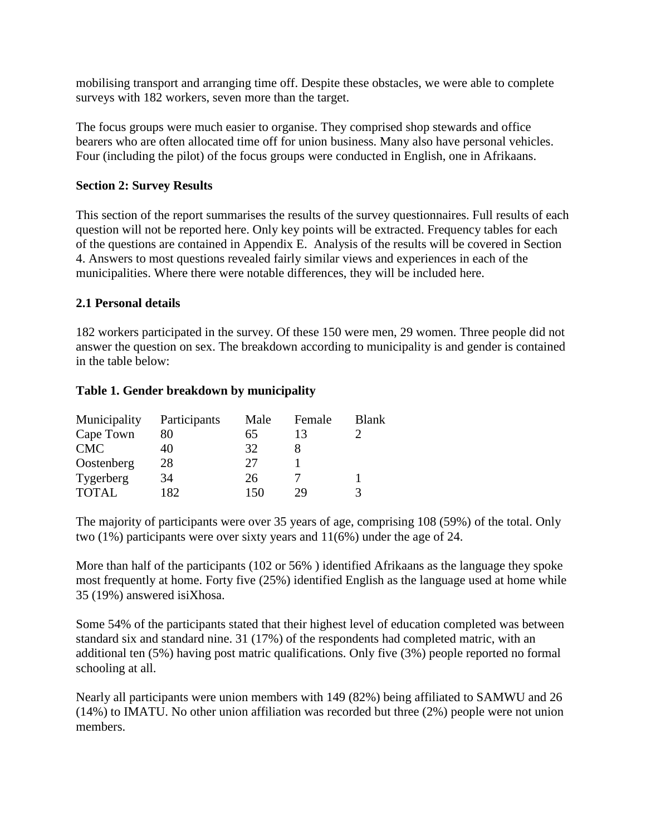mobilising transport and arranging time off. Despite these obstacles, we were able to complete surveys with 182 workers, seven more than the target.

The focus groups were much easier to organise. They comprised shop stewards and office bearers who are often allocated time off for union business. Many also have personal vehicles. Four (including the pilot) of the focus groups were conducted in English, one in Afrikaans.

#### **Section 2: Survey Results**

This section of the report summarises the results of the survey questionnaires. Full results of each question will not be reported here. Only key points will be extracted. Frequency tables for each of the questions are contained in Appendix E. Analysis of the results will be covered in Section 4. Answers to most questions revealed fairly similar views and experiences in each of the municipalities. Where there were notable differences, they will be included here.

#### **2.1 Personal details**

182 workers participated in the survey. Of these 150 were men, 29 women. Three people did not answer the question on sex. The breakdown according to municipality is and gender is contained in the table below:

#### **Table 1. Gender breakdown by municipality**

| Municipality | Participants | Male | Female | <b>Blank</b> |
|--------------|--------------|------|--------|--------------|
| Cape Town    | 80           | 65   | 13     |              |
| <b>CMC</b>   | 40           | 32   |        |              |
| Oostenberg   | 28           | 27   |        |              |
| Tygerberg    | 34           | 26   |        |              |
| <b>TOTAL</b> | 182          | 150  | 29     |              |

The majority of participants were over 35 years of age, comprising 108 (59%) of the total. Only two (1%) participants were over sixty years and 11(6%) under the age of 24.

More than half of the participants (102 or 56% ) identified Afrikaans as the language they spoke most frequently at home. Forty five (25%) identified English as the language used at home while 35 (19%) answered isiXhosa.

Some 54% of the participants stated that their highest level of education completed was between standard six and standard nine. 31 (17%) of the respondents had completed matric, with an additional ten (5%) having post matric qualifications. Only five (3%) people reported no formal schooling at all.

Nearly all participants were union members with 149 (82%) being affiliated to SAMWU and 26 (14%) to IMATU. No other union affiliation was recorded but three (2%) people were not union members.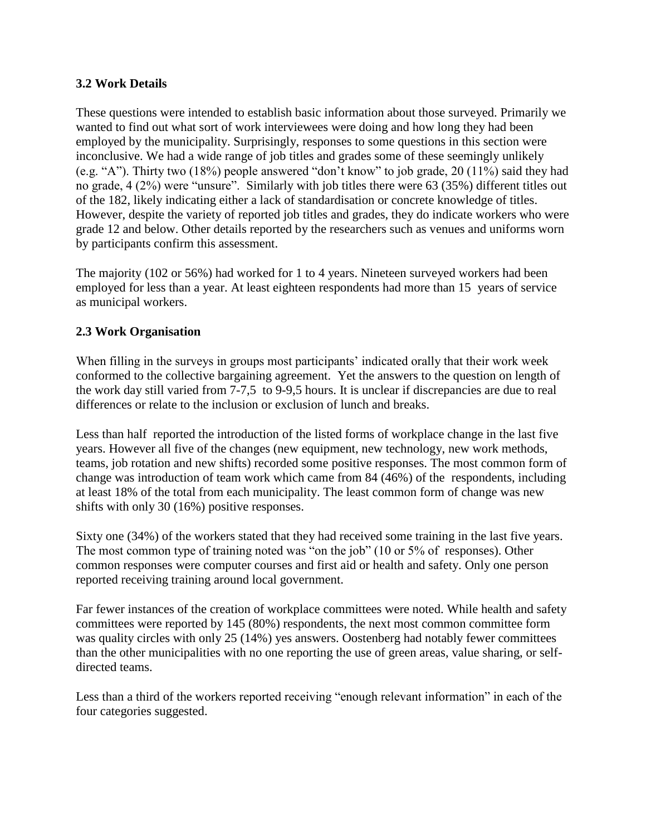## **3.2 Work Details**

These questions were intended to establish basic information about those surveyed. Primarily we wanted to find out what sort of work interviewees were doing and how long they had been employed by the municipality. Surprisingly, responses to some questions in this section were inconclusive. We had a wide range of job titles and grades some of these seemingly unlikely (e.g. "A"). Thirty two (18%) people answered "don't know" to job grade, 20 (11%) said they had no grade, 4 (2%) were "unsure". Similarly with job titles there were 63 (35%) different titles out of the 182, likely indicating either a lack of standardisation or concrete knowledge of titles. However, despite the variety of reported job titles and grades, they do indicate workers who were grade 12 and below. Other details reported by the researchers such as venues and uniforms worn by participants confirm this assessment.

The majority (102 or 56%) had worked for 1 to 4 years. Nineteen surveyed workers had been employed for less than a year. At least eighteen respondents had more than 15 years of service as municipal workers.

## **2.3 Work Organisation**

When filling in the surveys in groups most participants' indicated orally that their work week conformed to the collective bargaining agreement. Yet the answers to the question on length of the work day still varied from 7-7,5 to 9-9,5 hours. It is unclear if discrepancies are due to real differences or relate to the inclusion or exclusion of lunch and breaks.

Less than half reported the introduction of the listed forms of workplace change in the last five years. However all five of the changes (new equipment, new technology, new work methods, teams, job rotation and new shifts) recorded some positive responses. The most common form of change was introduction of team work which came from 84 (46%) of the respondents, including at least 18% of the total from each municipality. The least common form of change was new shifts with only 30 (16%) positive responses.

Sixty one (34%) of the workers stated that they had received some training in the last five years. The most common type of training noted was "on the job" (10 or 5% of responses). Other common responses were computer courses and first aid or health and safety. Only one person reported receiving training around local government.

Far fewer instances of the creation of workplace committees were noted. While health and safety committees were reported by 145 (80%) respondents, the next most common committee form was quality circles with only 25 (14%) yes answers. Oostenberg had notably fewer committees than the other municipalities with no one reporting the use of green areas, value sharing, or selfdirected teams.

Less than a third of the workers reported receiving "enough relevant information" in each of the four categories suggested.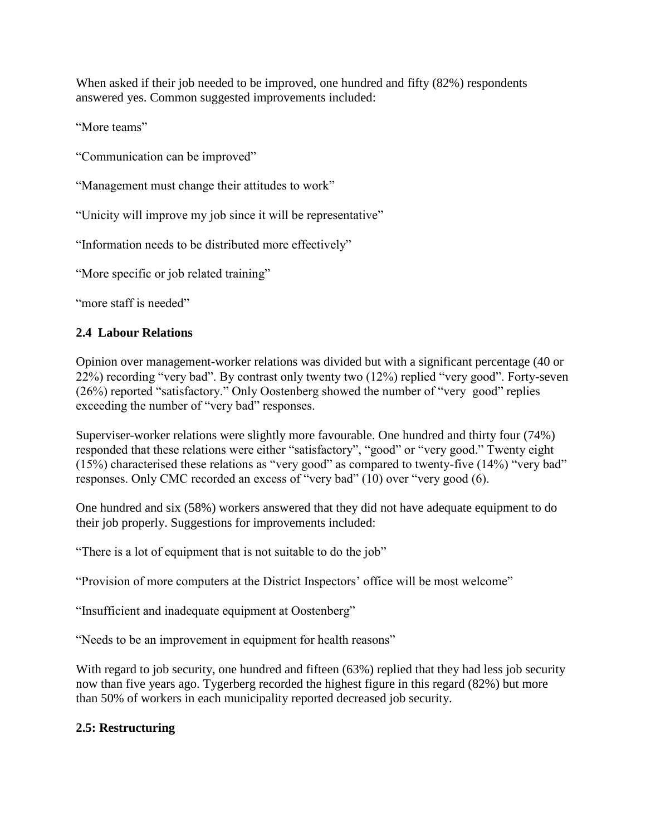When asked if their job needed to be improved, one hundred and fifty (82%) respondents answered yes. Common suggested improvements included:

"More teams"

"Communication can be improved"

"Management must change their attitudes to work"

"Unicity will improve my job since it will be representative"

"Information needs to be distributed more effectively"

"More specific or job related training"

"more staff is needed"

# **2.4 Labour Relations**

Opinion over management-worker relations was divided but with a significant percentage (40 or 22%) recording "very bad". By contrast only twenty two (12%) replied "very good". Forty-seven (26%) reported "satisfactory." Only Oostenberg showed the number of "very good" replies exceeding the number of "very bad" responses.

Superviser-worker relations were slightly more favourable. One hundred and thirty four (74%) responded that these relations were either "satisfactory", "good" or "very good." Twenty eight (15%) characterised these relations as "very good" as compared to twenty-five (14%) "very bad" responses. Only CMC recorded an excess of "very bad" (10) over "very good (6).

One hundred and six (58%) workers answered that they did not have adequate equipment to do their job properly. Suggestions for improvements included:

"There is a lot of equipment that is not suitable to do the job"

"Provision of more computers at the District Inspectors' office will be most welcome"

"Insufficient and inadequate equipment at Oostenberg"

"Needs to be an improvement in equipment for health reasons"

With regard to job security, one hundred and fifteen (63%) replied that they had less job security now than five years ago. Tygerberg recorded the highest figure in this regard (82%) but more than 50% of workers in each municipality reported decreased job security.

# **2.5: Restructuring**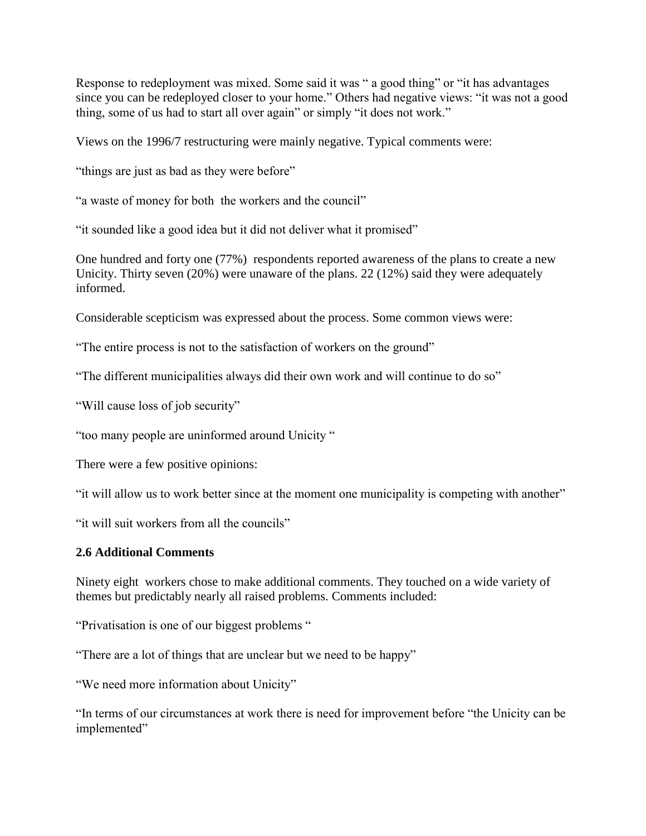Response to redeployment was mixed. Some said it was " a good thing" or "it has advantages since you can be redeployed closer to your home." Others had negative views: "it was not a good thing, some of us had to start all over again" or simply "it does not work."

Views on the 1996/7 restructuring were mainly negative. Typical comments were:

"things are just as bad as they were before"

"a waste of money for both the workers and the council"

"it sounded like a good idea but it did not deliver what it promised"

One hundred and forty one (77%) respondents reported awareness of the plans to create a new Unicity. Thirty seven (20%) were unaware of the plans. 22 (12%) said they were adequately informed.

Considerable scepticism was expressed about the process. Some common views were:

"The entire process is not to the satisfaction of workers on the ground"

"The different municipalities always did their own work and will continue to do so"

"Will cause loss of job security"

"too many people are uninformed around Unicity"

There were a few positive opinions:

"it will allow us to work better since at the moment one municipality is competing with another"

"it will suit workers from all the councils"

#### **2.6 Additional Comments**

Ninety eight workers chose to make additional comments. They touched on a wide variety of themes but predictably nearly all raised problems. Comments included:

"Privatisation is one of our biggest problems "

"There are a lot of things that are unclear but we need to be happy"

"We need more information about Unicity"

"In terms of our circumstances at work there is need for improvement before "the Unicity can be implemented"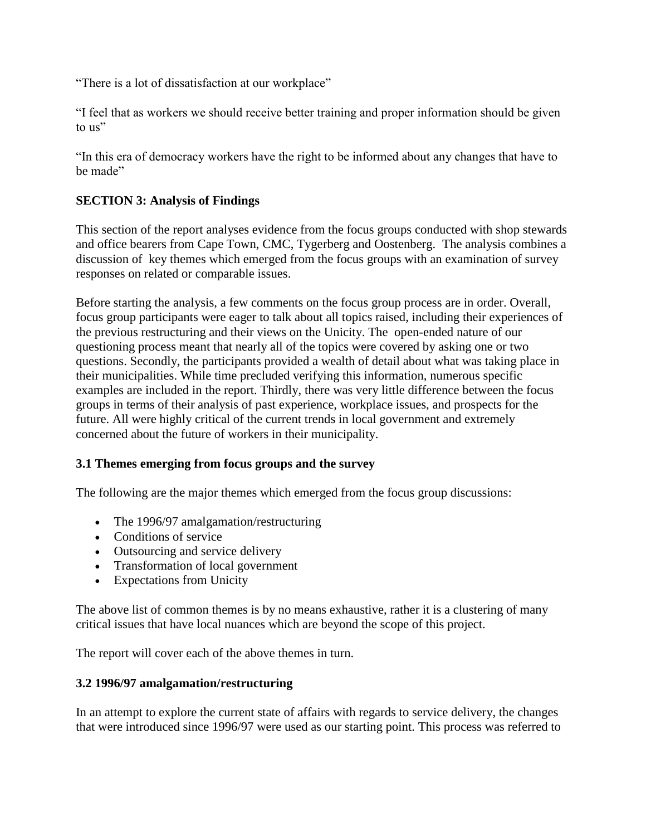"There is a lot of dissatisfaction at our workplace"

"I feel that as workers we should receive better training and proper information should be given to us"

"In this era of democracy workers have the right to be informed about any changes that have to be made"

## **SECTION 3: Analysis of Findings**

This section of the report analyses evidence from the focus groups conducted with shop stewards and office bearers from Cape Town, CMC, Tygerberg and Oostenberg. The analysis combines a discussion of key themes which emerged from the focus groups with an examination of survey responses on related or comparable issues.

Before starting the analysis, a few comments on the focus group process are in order. Overall, focus group participants were eager to talk about all topics raised, including their experiences of the previous restructuring and their views on the Unicity. The open-ended nature of our questioning process meant that nearly all of the topics were covered by asking one or two questions. Secondly, the participants provided a wealth of detail about what was taking place in their municipalities. While time precluded verifying this information, numerous specific examples are included in the report. Thirdly, there was very little difference between the focus groups in terms of their analysis of past experience, workplace issues, and prospects for the future. All were highly critical of the current trends in local government and extremely concerned about the future of workers in their municipality.

#### **3.1 Themes emerging from focus groups and the survey**

The following are the major themes which emerged from the focus group discussions:

- The 1996/97 amalgamation/restructuring
- Conditions of service
- Outsourcing and service delivery
- Transformation of local government
- Expectations from Unicity

The above list of common themes is by no means exhaustive, rather it is a clustering of many critical issues that have local nuances which are beyond the scope of this project.

The report will cover each of the above themes in turn.

#### **3.2 1996/97 amalgamation/restructuring**

In an attempt to explore the current state of affairs with regards to service delivery, the changes that were introduced since 1996/97 were used as our starting point. This process was referred to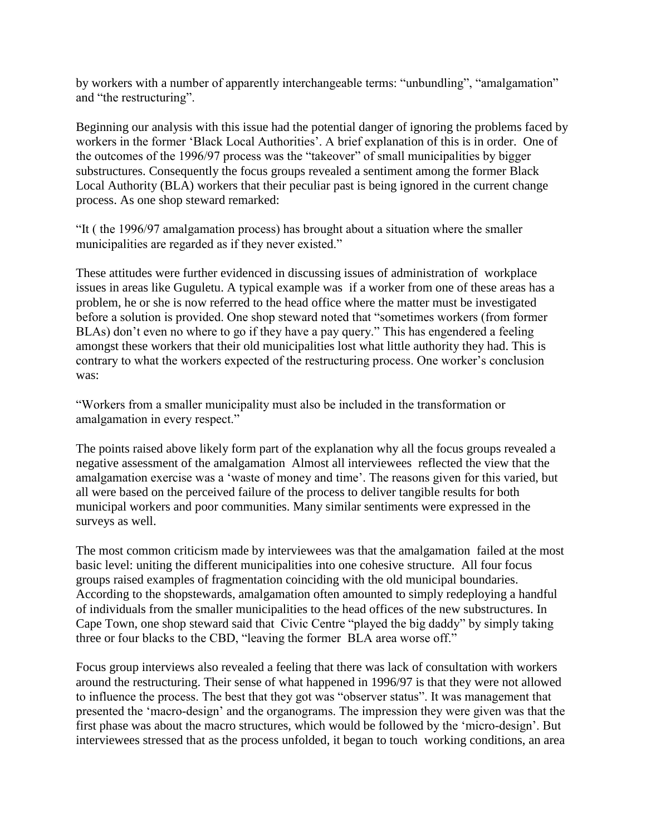by workers with a number of apparently interchangeable terms: "unbundling", "amalgamation" and "the restructuring".

Beginning our analysis with this issue had the potential danger of ignoring the problems faced by workers in the former 'Black Local Authorities'. A brief explanation of this is in order. One of the outcomes of the 1996/97 process was the "takeover" of small municipalities by bigger substructures. Consequently the focus groups revealed a sentiment among the former Black Local Authority (BLA) workers that their peculiar past is being ignored in the current change process. As one shop steward remarked:

"It ( the 1996/97 amalgamation process) has brought about a situation where the smaller municipalities are regarded as if they never existed."

These attitudes were further evidenced in discussing issues of administration of workplace issues in areas like Guguletu. A typical example was if a worker from one of these areas has a problem, he or she is now referred to the head office where the matter must be investigated before a solution is provided. One shop steward noted that "sometimes workers (from former BLAs) don't even no where to go if they have a pay query." This has engendered a feeling amongst these workers that their old municipalities lost what little authority they had. This is contrary to what the workers expected of the restructuring process. One worker's conclusion was:

"Workers from a smaller municipality must also be included in the transformation or amalgamation in every respect."

The points raised above likely form part of the explanation why all the focus groups revealed a negative assessment of the amalgamation Almost all interviewees reflected the view that the amalgamation exercise was a 'waste of money and time'. The reasons given for this varied, but all were based on the perceived failure of the process to deliver tangible results for both municipal workers and poor communities. Many similar sentiments were expressed in the surveys as well.

The most common criticism made by interviewees was that the amalgamation failed at the most basic level: uniting the different municipalities into one cohesive structure. All four focus groups raised examples of fragmentation coinciding with the old municipal boundaries. According to the shopstewards, amalgamation often amounted to simply redeploying a handful of individuals from the smaller municipalities to the head offices of the new substructures. In Cape Town, one shop steward said that Civic Centre "played the big daddy" by simply taking three or four blacks to the CBD, "leaving the former BLA area worse off."

Focus group interviews also revealed a feeling that there was lack of consultation with workers around the restructuring. Their sense of what happened in 1996/97 is that they were not allowed to influence the process. The best that they got was "observer status". It was management that presented the 'macro-design' and the organograms. The impression they were given was that the first phase was about the macro structures, which would be followed by the 'micro-design'. But interviewees stressed that as the process unfolded, it began to touch working conditions, an area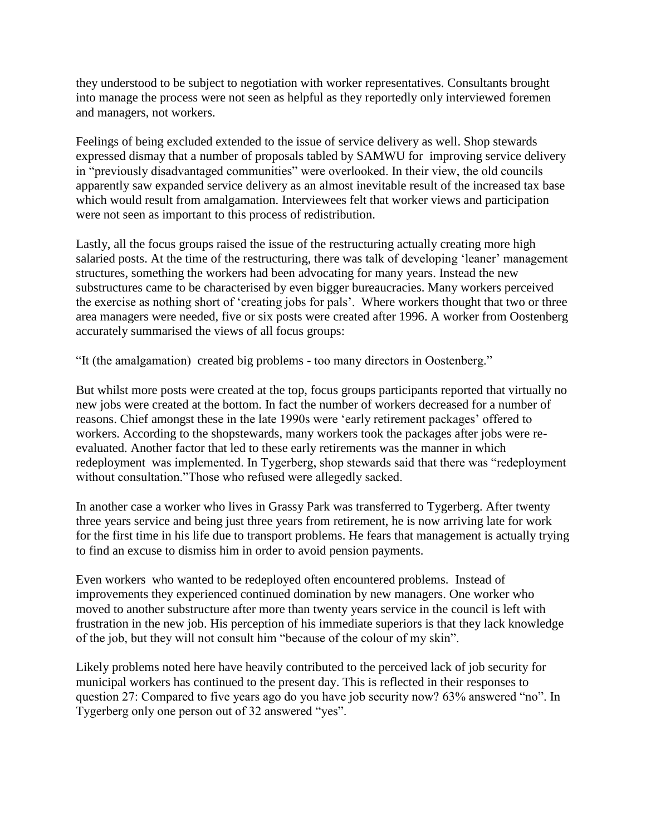they understood to be subject to negotiation with worker representatives. Consultants brought into manage the process were not seen as helpful as they reportedly only interviewed foremen and managers, not workers.

Feelings of being excluded extended to the issue of service delivery as well. Shop stewards expressed dismay that a number of proposals tabled by SAMWU for improving service delivery in "previously disadvantaged communities" were overlooked. In their view, the old councils apparently saw expanded service delivery as an almost inevitable result of the increased tax base which would result from amalgamation. Interviewees felt that worker views and participation were not seen as important to this process of redistribution.

Lastly, all the focus groups raised the issue of the restructuring actually creating more high salaried posts. At the time of the restructuring, there was talk of developing 'leaner' management structures, something the workers had been advocating for many years. Instead the new substructures came to be characterised by even bigger bureaucracies. Many workers perceived the exercise as nothing short of 'creating jobs for pals'. Where workers thought that two or three area managers were needed, five or six posts were created after 1996. A worker from Oostenberg accurately summarised the views of all focus groups:

"It (the amalgamation) created big problems - too many directors in Oostenberg."

But whilst more posts were created at the top, focus groups participants reported that virtually no new jobs were created at the bottom. In fact the number of workers decreased for a number of reasons. Chief amongst these in the late 1990s were 'early retirement packages' offered to workers. According to the shopstewards, many workers took the packages after jobs were reevaluated. Another factor that led to these early retirements was the manner in which redeployment was implemented. In Tygerberg, shop stewards said that there was "redeployment without consultation."Those who refused were allegedly sacked.

In another case a worker who lives in Grassy Park was transferred to Tygerberg. After twenty three years service and being just three years from retirement, he is now arriving late for work for the first time in his life due to transport problems. He fears that management is actually trying to find an excuse to dismiss him in order to avoid pension payments.

Even workers who wanted to be redeployed often encountered problems. Instead of improvements they experienced continued domination by new managers. One worker who moved to another substructure after more than twenty years service in the council is left with frustration in the new job. His perception of his immediate superiors is that they lack knowledge of the job, but they will not consult him "because of the colour of my skin".

Likely problems noted here have heavily contributed to the perceived lack of job security for municipal workers has continued to the present day. This is reflected in their responses to question 27: Compared to five years ago do you have job security now? 63% answered "no". In Tygerberg only one person out of 32 answered "yes".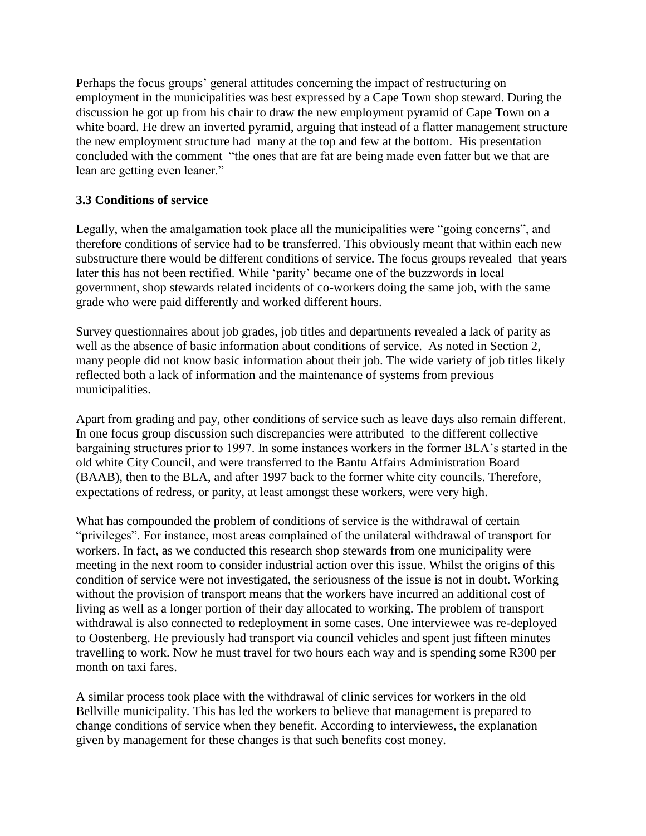Perhaps the focus groups' general attitudes concerning the impact of restructuring on employment in the municipalities was best expressed by a Cape Town shop steward. During the discussion he got up from his chair to draw the new employment pyramid of Cape Town on a white board. He drew an inverted pyramid, arguing that instead of a flatter management structure the new employment structure had many at the top and few at the bottom. His presentation concluded with the comment "the ones that are fat are being made even fatter but we that are lean are getting even leaner."

## **3.3 Conditions of service**

Legally, when the amalgamation took place all the municipalities were "going concerns", and therefore conditions of service had to be transferred. This obviously meant that within each new substructure there would be different conditions of service. The focus groups revealed that years later this has not been rectified. While 'parity' became one of the buzzwords in local government, shop stewards related incidents of co-workers doing the same job, with the same grade who were paid differently and worked different hours.

Survey questionnaires about job grades, job titles and departments revealed a lack of parity as well as the absence of basic information about conditions of service. As noted in Section 2, many people did not know basic information about their job. The wide variety of job titles likely reflected both a lack of information and the maintenance of systems from previous municipalities.

Apart from grading and pay, other conditions of service such as leave days also remain different. In one focus group discussion such discrepancies were attributed to the different collective bargaining structures prior to 1997. In some instances workers in the former BLA's started in the old white City Council, and were transferred to the Bantu Affairs Administration Board (BAAB), then to the BLA, and after 1997 back to the former white city councils. Therefore, expectations of redress, or parity, at least amongst these workers, were very high.

What has compounded the problem of conditions of service is the withdrawal of certain "privileges". For instance, most areas complained of the unilateral withdrawal of transport for workers. In fact, as we conducted this research shop stewards from one municipality were meeting in the next room to consider industrial action over this issue. Whilst the origins of this condition of service were not investigated, the seriousness of the issue is not in doubt. Working without the provision of transport means that the workers have incurred an additional cost of living as well as a longer portion of their day allocated to working. The problem of transport withdrawal is also connected to redeployment in some cases. One interviewee was re-deployed to Oostenberg. He previously had transport via council vehicles and spent just fifteen minutes travelling to work. Now he must travel for two hours each way and is spending some R300 per month on taxi fares.

A similar process took place with the withdrawal of clinic services for workers in the old Bellville municipality. This has led the workers to believe that management is prepared to change conditions of service when they benefit. According to interviewess, the explanation given by management for these changes is that such benefits cost money.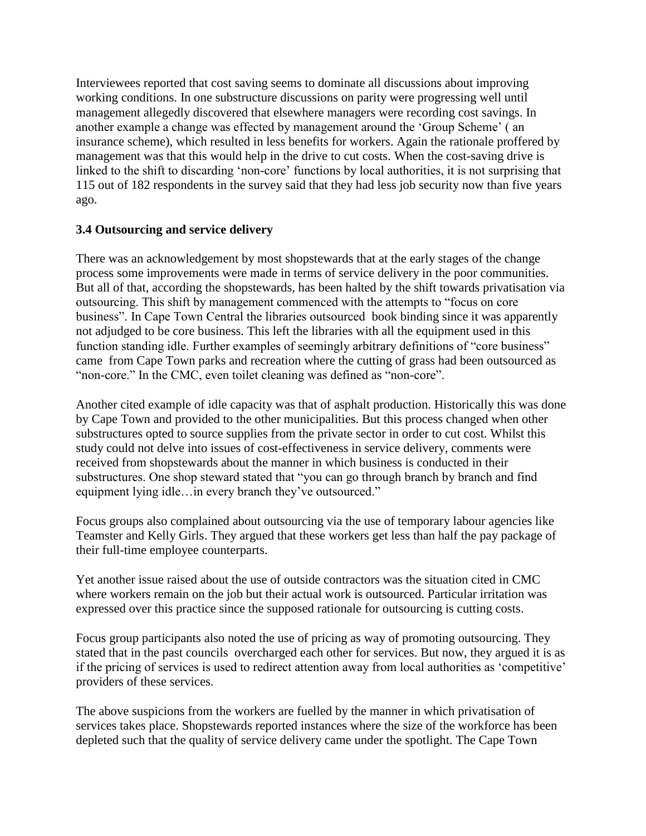Interviewees reported that cost saving seems to dominate all discussions about improving working conditions. In one substructure discussions on parity were progressing well until management allegedly discovered that elsewhere managers were recording cost savings. In another example a change was effected by management around the 'Group Scheme' ( an insurance scheme), which resulted in less benefits for workers. Again the rationale proffered by management was that this would help in the drive to cut costs. When the cost-saving drive is linked to the shift to discarding 'non-core' functions by local authorities, it is not surprising that 115 out of 182 respondents in the survey said that they had less job security now than five years ago.

#### **3.4 Outsourcing and service delivery**

There was an acknowledgement by most shopstewards that at the early stages of the change process some improvements were made in terms of service delivery in the poor communities. But all of that, according the shopstewards, has been halted by the shift towards privatisation via outsourcing. This shift by management commenced with the attempts to "focus on core business". In Cape Town Central the libraries outsourced book binding since it was apparently not adjudged to be core business. This left the libraries with all the equipment used in this function standing idle. Further examples of seemingly arbitrary definitions of "core business" came from Cape Town parks and recreation where the cutting of grass had been outsourced as "non-core." In the CMC, even toilet cleaning was defined as "non-core".

Another cited example of idle capacity was that of asphalt production. Historically this was done by Cape Town and provided to the other municipalities. But this process changed when other substructures opted to source supplies from the private sector in order to cut cost. Whilst this study could not delve into issues of cost-effectiveness in service delivery, comments were received from shopstewards about the manner in which business is conducted in their substructures. One shop steward stated that "you can go through branch by branch and find equipment lying idle…in every branch they've outsourced."

Focus groups also complained about outsourcing via the use of temporary labour agencies like Teamster and Kelly Girls. They argued that these workers get less than half the pay package of their full-time employee counterparts.

Yet another issue raised about the use of outside contractors was the situation cited in CMC where workers remain on the job but their actual work is outsourced. Particular irritation was expressed over this practice since the supposed rationale for outsourcing is cutting costs.

Focus group participants also noted the use of pricing as way of promoting outsourcing. They stated that in the past councils overcharged each other for services. But now, they argued it is as if the pricing of services is used to redirect attention away from local authorities as 'competitive' providers of these services.

The above suspicions from the workers are fuelled by the manner in which privatisation of services takes place. Shopstewards reported instances where the size of the workforce has been depleted such that the quality of service delivery came under the spotlight. The Cape Town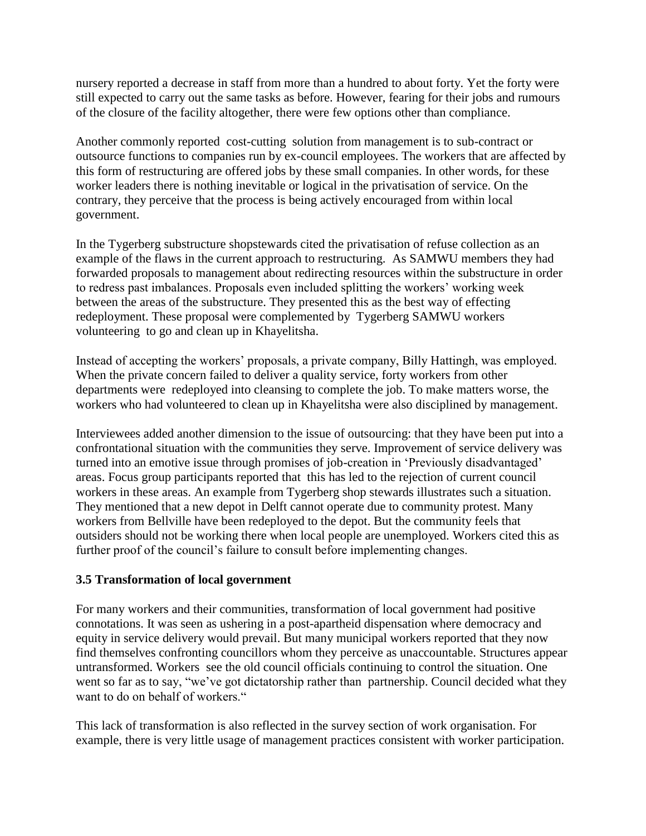nursery reported a decrease in staff from more than a hundred to about forty. Yet the forty were still expected to carry out the same tasks as before. However, fearing for their jobs and rumours of the closure of the facility altogether, there were few options other than compliance.

Another commonly reported cost-cutting solution from management is to sub-contract or outsource functions to companies run by ex-council employees. The workers that are affected by this form of restructuring are offered jobs by these small companies. In other words, for these worker leaders there is nothing inevitable or logical in the privatisation of service. On the contrary, they perceive that the process is being actively encouraged from within local government.

In the Tygerberg substructure shopstewards cited the privatisation of refuse collection as an example of the flaws in the current approach to restructuring. As SAMWU members they had forwarded proposals to management about redirecting resources within the substructure in order to redress past imbalances. Proposals even included splitting the workers' working week between the areas of the substructure. They presented this as the best way of effecting redeployment. These proposal were complemented by Tygerberg SAMWU workers volunteering to go and clean up in Khayelitsha.

Instead of accepting the workers' proposals, a private company, Billy Hattingh, was employed. When the private concern failed to deliver a quality service, forty workers from other departments were redeployed into cleansing to complete the job. To make matters worse, the workers who had volunteered to clean up in Khayelitsha were also disciplined by management.

Interviewees added another dimension to the issue of outsourcing: that they have been put into a confrontational situation with the communities they serve. Improvement of service delivery was turned into an emotive issue through promises of job-creation in 'Previously disadvantaged' areas. Focus group participants reported that this has led to the rejection of current council workers in these areas. An example from Tygerberg shop stewards illustrates such a situation. They mentioned that a new depot in Delft cannot operate due to community protest. Many workers from Bellville have been redeployed to the depot. But the community feels that outsiders should not be working there when local people are unemployed. Workers cited this as further proof of the council's failure to consult before implementing changes.

#### **3.5 Transformation of local government**

For many workers and their communities, transformation of local government had positive connotations. It was seen as ushering in a post-apartheid dispensation where democracy and equity in service delivery would prevail. But many municipal workers reported that they now find themselves confronting councillors whom they perceive as unaccountable. Structures appear untransformed. Workers see the old council officials continuing to control the situation. One went so far as to say, "we've got dictatorship rather than partnership. Council decided what they want to do on behalf of workers."

This lack of transformation is also reflected in the survey section of work organisation. For example, there is very little usage of management practices consistent with worker participation.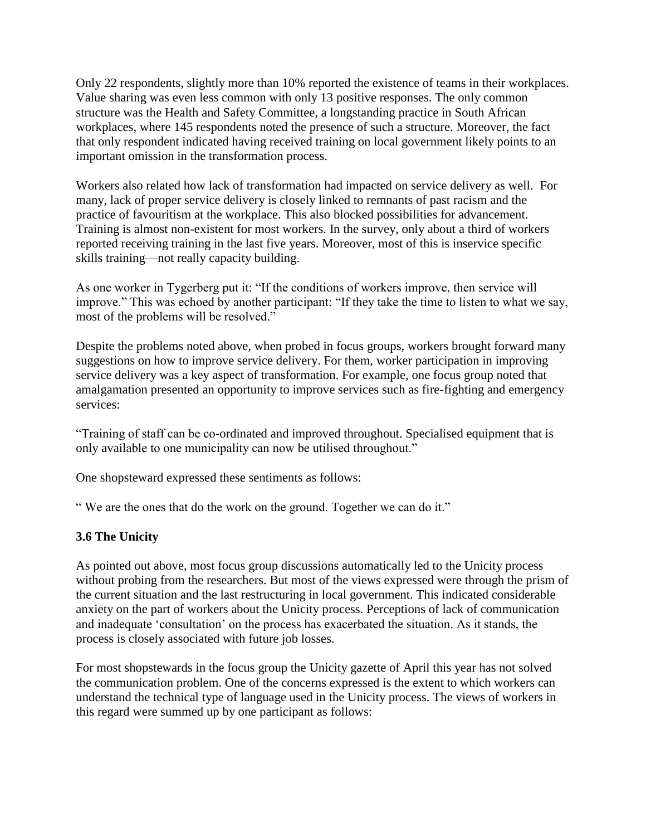Only 22 respondents, slightly more than 10% reported the existence of teams in their workplaces. Value sharing was even less common with only 13 positive responses. The only common structure was the Health and Safety Committee, a longstanding practice in South African workplaces, where 145 respondents noted the presence of such a structure. Moreover, the fact that only respondent indicated having received training on local government likely points to an important omission in the transformation process.

Workers also related how lack of transformation had impacted on service delivery as well. For many, lack of proper service delivery is closely linked to remnants of past racism and the practice of favouritism at the workplace. This also blocked possibilities for advancement. Training is almost non-existent for most workers. In the survey, only about a third of workers reported receiving training in the last five years. Moreover, most of this is inservice specific skills training—not really capacity building.

As one worker in Tygerberg put it: "If the conditions of workers improve, then service will improve." This was echoed by another participant: "If they take the time to listen to what we say, most of the problems will be resolved."

Despite the problems noted above, when probed in focus groups, workers brought forward many suggestions on how to improve service delivery. For them, worker participation in improving service delivery was a key aspect of transformation. For example, one focus group noted that amalgamation presented an opportunity to improve services such as fire-fighting and emergency services:

"Training of staff can be co-ordinated and improved throughout. Specialised equipment that is only available to one municipality can now be utilised throughout."

One shopsteward expressed these sentiments as follows:

" We are the ones that do the work on the ground. Together we can do it."

#### **3.6 The Unicity**

As pointed out above, most focus group discussions automatically led to the Unicity process without probing from the researchers. But most of the views expressed were through the prism of the current situation and the last restructuring in local government. This indicated considerable anxiety on the part of workers about the Unicity process. Perceptions of lack of communication and inadequate 'consultation' on the process has exacerbated the situation. As it stands, the process is closely associated with future job losses.

For most shopstewards in the focus group the Unicity gazette of April this year has not solved the communication problem. One of the concerns expressed is the extent to which workers can understand the technical type of language used in the Unicity process. The views of workers in this regard were summed up by one participant as follows: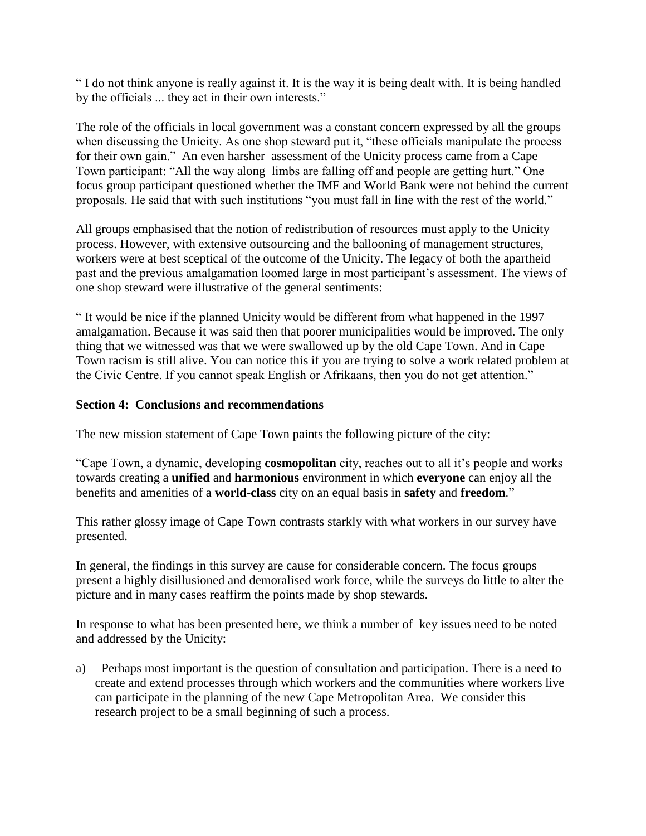" I do not think anyone is really against it. It is the way it is being dealt with. It is being handled by the officials ... they act in their own interests."

The role of the officials in local government was a constant concern expressed by all the groups when discussing the Unicity. As one shop steward put it, "these officials manipulate the process for their own gain." An even harsher assessment of the Unicity process came from a Cape Town participant: "All the way along limbs are falling off and people are getting hurt." One focus group participant questioned whether the IMF and World Bank were not behind the current proposals. He said that with such institutions "you must fall in line with the rest of the world."

All groups emphasised that the notion of redistribution of resources must apply to the Unicity process. However, with extensive outsourcing and the ballooning of management structures, workers were at best sceptical of the outcome of the Unicity. The legacy of both the apartheid past and the previous amalgamation loomed large in most participant's assessment. The views of one shop steward were illustrative of the general sentiments:

" It would be nice if the planned Unicity would be different from what happened in the 1997 amalgamation. Because it was said then that poorer municipalities would be improved. The only thing that we witnessed was that we were swallowed up by the old Cape Town. And in Cape Town racism is still alive. You can notice this if you are trying to solve a work related problem at the Civic Centre. If you cannot speak English or Afrikaans, then you do not get attention."

#### **Section 4: Conclusions and recommendations**

The new mission statement of Cape Town paints the following picture of the city:

"Cape Town, a dynamic, developing **cosmopolitan** city, reaches out to all it's people and works towards creating a **unified** and **harmonious** environment in which **everyone** can enjoy all the benefits and amenities of a **world-class** city on an equal basis in **safety** and **freedom**."

This rather glossy image of Cape Town contrasts starkly with what workers in our survey have presented.

In general, the findings in this survey are cause for considerable concern. The focus groups present a highly disillusioned and demoralised work force, while the surveys do little to alter the picture and in many cases reaffirm the points made by shop stewards.

In response to what has been presented here, we think a number of key issues need to be noted and addressed by the Unicity:

a) Perhaps most important is the question of consultation and participation. There is a need to create and extend processes through which workers and the communities where workers live can participate in the planning of the new Cape Metropolitan Area. We consider this research project to be a small beginning of such a process.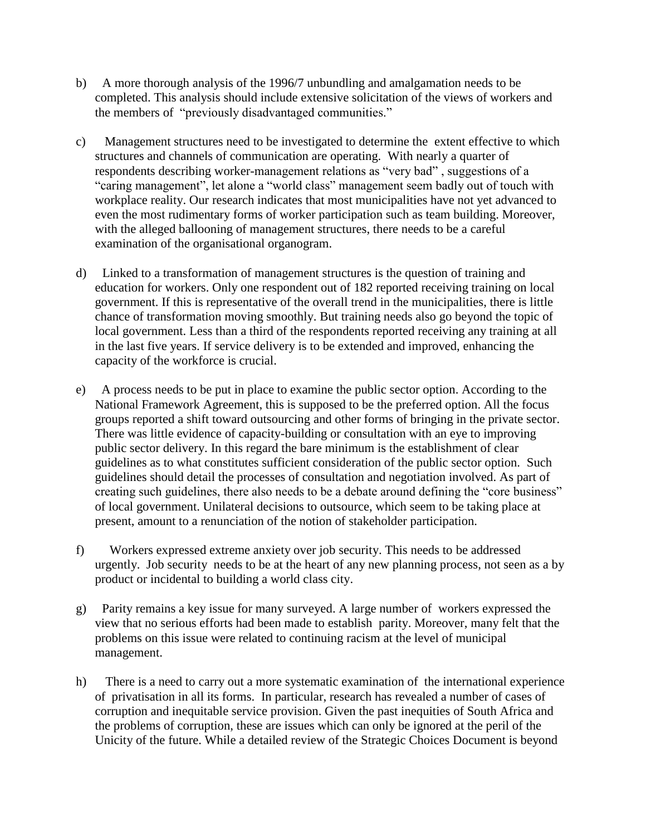- b) A more thorough analysis of the 1996/7 unbundling and amalgamation needs to be completed. This analysis should include extensive solicitation of the views of workers and the members of "previously disadvantaged communities."
- c) Management structures need to be investigated to determine the extent effective to which structures and channels of communication are operating. With nearly a quarter of respondents describing worker-management relations as "very bad" , suggestions of a "caring management", let alone a "world class" management seem badly out of touch with workplace reality. Our research indicates that most municipalities have not yet advanced to even the most rudimentary forms of worker participation such as team building. Moreover, with the alleged ballooning of management structures, there needs to be a careful examination of the organisational organogram.
- d) Linked to a transformation of management structures is the question of training and education for workers. Only one respondent out of 182 reported receiving training on local government. If this is representative of the overall trend in the municipalities, there is little chance of transformation moving smoothly. But training needs also go beyond the topic of local government. Less than a third of the respondents reported receiving any training at all in the last five years. If service delivery is to be extended and improved, enhancing the capacity of the workforce is crucial.
- e) A process needs to be put in place to examine the public sector option. According to the National Framework Agreement, this is supposed to be the preferred option. All the focus groups reported a shift toward outsourcing and other forms of bringing in the private sector. There was little evidence of capacity-building or consultation with an eye to improving public sector delivery. In this regard the bare minimum is the establishment of clear guidelines as to what constitutes sufficient consideration of the public sector option. Such guidelines should detail the processes of consultation and negotiation involved. As part of creating such guidelines, there also needs to be a debate around defining the "core business" of local government. Unilateral decisions to outsource, which seem to be taking place at present, amount to a renunciation of the notion of stakeholder participation.
- f) Workers expressed extreme anxiety over job security. This needs to be addressed urgently. Job security needs to be at the heart of any new planning process, not seen as a by product or incidental to building a world class city.
- g) Parity remains a key issue for many surveyed. A large number of workers expressed the view that no serious efforts had been made to establish parity. Moreover, many felt that the problems on this issue were related to continuing racism at the level of municipal management.
- h) There is a need to carry out a more systematic examination of the international experience of privatisation in all its forms. In particular, research has revealed a number of cases of corruption and inequitable service provision. Given the past inequities of South Africa and the problems of corruption, these are issues which can only be ignored at the peril of the Unicity of the future. While a detailed review of the Strategic Choices Document is beyond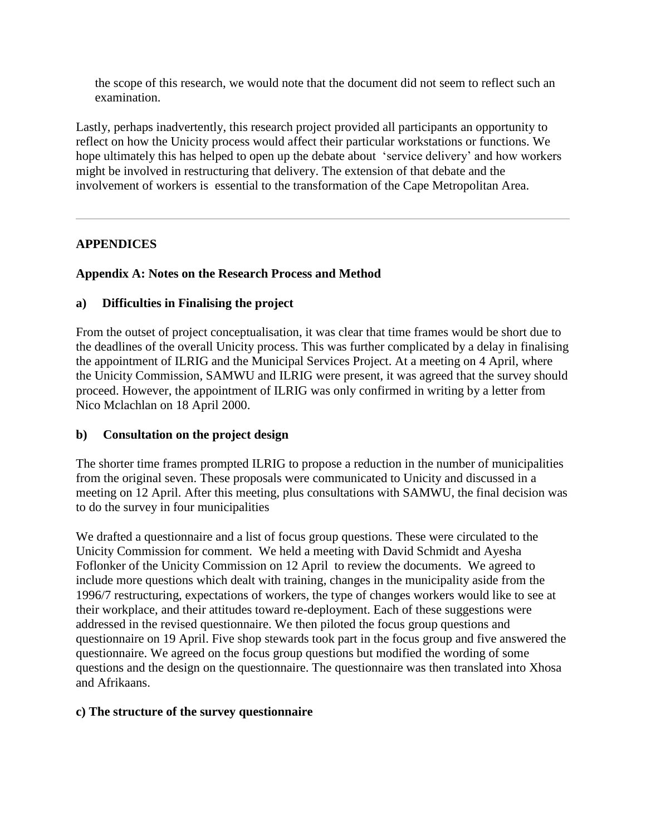the scope of this research, we would note that the document did not seem to reflect such an examination.

Lastly, perhaps inadvertently, this research project provided all participants an opportunity to reflect on how the Unicity process would affect their particular workstations or functions. We hope ultimately this has helped to open up the debate about 'service delivery' and how workers might be involved in restructuring that delivery. The extension of that debate and the involvement of workers is essential to the transformation of the Cape Metropolitan Area.

## **APPENDICES**

#### **Appendix A: Notes on the Research Process and Method**

## **a) Difficulties in Finalising the project**

From the outset of project conceptualisation, it was clear that time frames would be short due to the deadlines of the overall Unicity process. This was further complicated by a delay in finalising the appointment of ILRIG and the Municipal Services Project. At a meeting on 4 April, where the Unicity Commission, SAMWU and ILRIG were present, it was agreed that the survey should proceed. However, the appointment of ILRIG was only confirmed in writing by a letter from Nico Mclachlan on 18 April 2000.

#### **b) Consultation on the project design**

The shorter time frames prompted ILRIG to propose a reduction in the number of municipalities from the original seven. These proposals were communicated to Unicity and discussed in a meeting on 12 April. After this meeting, plus consultations with SAMWU, the final decision was to do the survey in four municipalities

We drafted a questionnaire and a list of focus group questions. These were circulated to the Unicity Commission for comment. We held a meeting with David Schmidt and Ayesha Foflonker of the Unicity Commission on 12 April to review the documents. We agreed to include more questions which dealt with training, changes in the municipality aside from the 1996/7 restructuring, expectations of workers, the type of changes workers would like to see at their workplace, and their attitudes toward re-deployment. Each of these suggestions were addressed in the revised questionnaire. We then piloted the focus group questions and questionnaire on 19 April. Five shop stewards took part in the focus group and five answered the questionnaire. We agreed on the focus group questions but modified the wording of some questions and the design on the questionnaire. The questionnaire was then translated into Xhosa and Afrikaans.

#### **c) The structure of the survey questionnaire**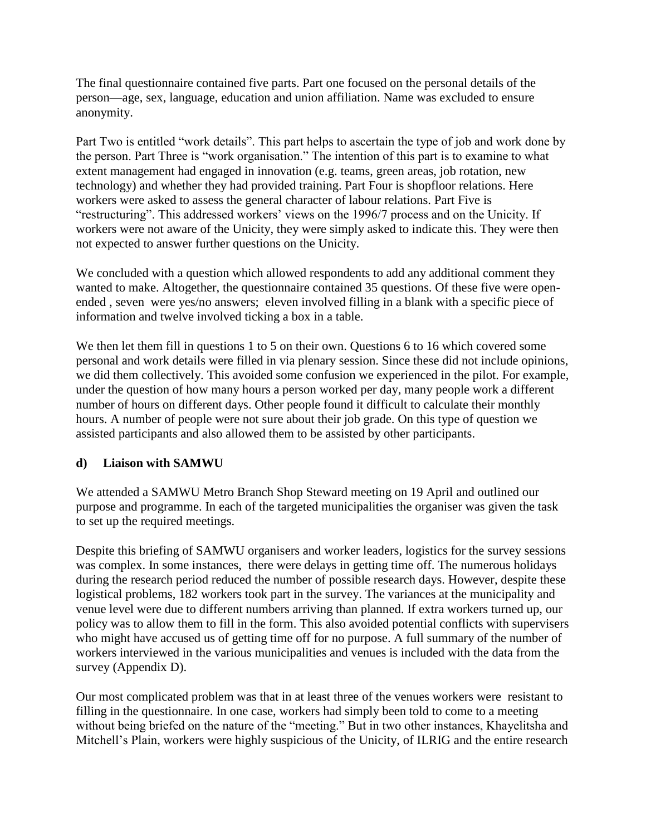The final questionnaire contained five parts. Part one focused on the personal details of the person—age, sex, language, education and union affiliation. Name was excluded to ensure anonymity.

Part Two is entitled "work details". This part helps to ascertain the type of job and work done by the person. Part Three is "work organisation." The intention of this part is to examine to what extent management had engaged in innovation (e.g. teams, green areas, job rotation, new technology) and whether they had provided training. Part Four is shopfloor relations. Here workers were asked to assess the general character of labour relations. Part Five is "restructuring". This addressed workers' views on the 1996/7 process and on the Unicity. If workers were not aware of the Unicity, they were simply asked to indicate this. They were then not expected to answer further questions on the Unicity.

We concluded with a question which allowed respondents to add any additional comment they wanted to make. Altogether, the questionnaire contained 35 questions. Of these five were openended , seven were yes/no answers; eleven involved filling in a blank with a specific piece of information and twelve involved ticking a box in a table.

We then let them fill in questions 1 to 5 on their own. Questions 6 to 16 which covered some personal and work details were filled in via plenary session. Since these did not include opinions, we did them collectively. This avoided some confusion we experienced in the pilot. For example, under the question of how many hours a person worked per day, many people work a different number of hours on different days. Other people found it difficult to calculate their monthly hours. A number of people were not sure about their job grade. On this type of question we assisted participants and also allowed them to be assisted by other participants.

#### **d) Liaison with SAMWU**

We attended a SAMWU Metro Branch Shop Steward meeting on 19 April and outlined our purpose and programme. In each of the targeted municipalities the organiser was given the task to set up the required meetings.

Despite this briefing of SAMWU organisers and worker leaders, logistics for the survey sessions was complex. In some instances, there were delays in getting time off. The numerous holidays during the research period reduced the number of possible research days. However, despite these logistical problems, 182 workers took part in the survey. The variances at the municipality and venue level were due to different numbers arriving than planned. If extra workers turned up, our policy was to allow them to fill in the form. This also avoided potential conflicts with supervisers who might have accused us of getting time off for no purpose. A full summary of the number of workers interviewed in the various municipalities and venues is included with the data from the survey (Appendix D).

Our most complicated problem was that in at least three of the venues workers were resistant to filling in the questionnaire. In one case, workers had simply been told to come to a meeting without being briefed on the nature of the "meeting." But in two other instances, Khayelitsha and Mitchell's Plain, workers were highly suspicious of the Unicity, of ILRIG and the entire research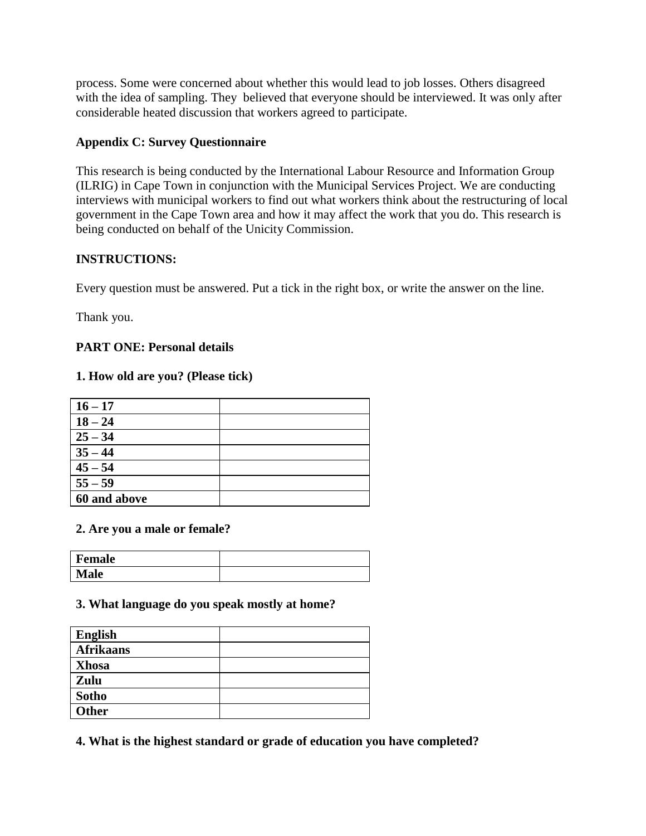process. Some were concerned about whether this would lead to job losses. Others disagreed with the idea of sampling. They believed that everyone should be interviewed. It was only after considerable heated discussion that workers agreed to participate.

#### **Appendix C: Survey Questionnaire**

This research is being conducted by the International Labour Resource and Information Group (ILRIG) in Cape Town in conjunction with the Municipal Services Project. We are conducting interviews with municipal workers to find out what workers think about the restructuring of local government in the Cape Town area and how it may affect the work that you do. This research is being conducted on behalf of the Unicity Commission.

## **INSTRUCTIONS:**

Every question must be answered. Put a tick in the right box, or write the answer on the line.

Thank you.

## **PART ONE: Personal details**

#### **1. How old are you? (Please tick)**

| $16 - 17$    |  |
|--------------|--|
| $18 - 24$    |  |
| $25 - 34$    |  |
| $35 - 44$    |  |
| $45 - 54$    |  |
| $55 - 59$    |  |
| 60 and above |  |

#### **2. Are you a male or female?**

| <b>Female</b> |  |
|---------------|--|
| Male          |  |

#### **3. What language do you speak mostly at home?**

| English          |  |
|------------------|--|
| <b>Afrikaans</b> |  |
| <b>Xhosa</b>     |  |
| Zulu             |  |
| <b>Sotho</b>     |  |
| <b>Other</b>     |  |

**4. What is the highest standard or grade of education you have completed?**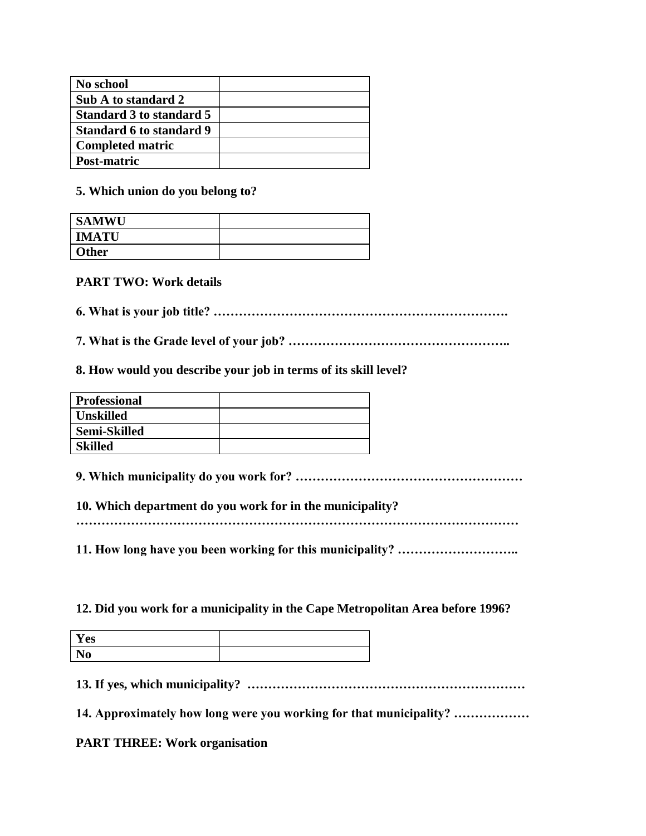| No school                |  |
|--------------------------|--|
| Sub A to standard 2      |  |
| Standard 3 to standard 5 |  |
| Standard 6 to standard 9 |  |
| <b>Completed matric</b>  |  |
| Post-matric              |  |

#### **5. Which union do you belong to?**

| <b>SAMWU</b> |  |
|--------------|--|
| <b>IMATU</b> |  |
| <b>Other</b> |  |

#### **PART TWO: Work details**

**6. What is your job title? …………………………………………………………….**

**7. What is the Grade level of your job? ……………………………………………..** 

#### **8. How would you describe your job in terms of its skill level?**

| <b>Professional</b> |  |
|---------------------|--|
| Unskilled           |  |
| <b>Semi-Skilled</b> |  |
| <b>Skilled</b>      |  |

**9. Which municipality do you work for? ………………………………………………**

**10. Which department do you work for in the municipality?** 

**……………………………………………………………………………………………**

**11. How long have you been working for this municipality? ………………………..** 

**12. Did you work for a municipality in the Cape Metropolitan Area before 1996?** 

| Y es |  |
|------|--|
| u    |  |

**13. If yes, which municipality? …………………………………………………………**

**14. Approximately how long were you working for that municipality? ………………**

#### **PART THREE: Work organisation**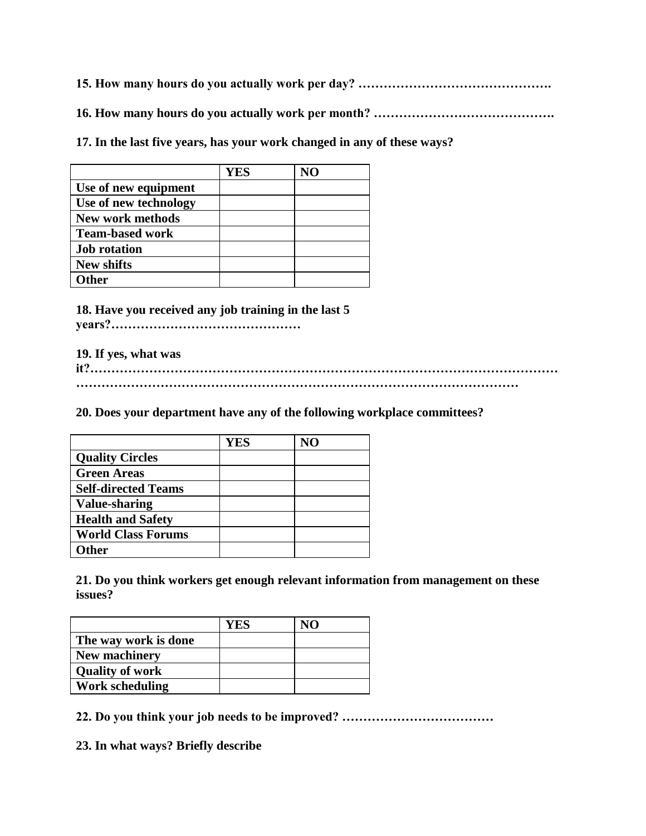**15. How many hours do you actually work per day? ……………………………………….**

**16. How many hours do you actually work per month? …………………………………….**

**17. In the last five years, has your work changed in any of these ways?**

|                         | <b>YES</b> | N <sub>O</sub> |
|-------------------------|------------|----------------|
| Use of new equipment    |            |                |
| Use of new technology   |            |                |
| <b>New work methods</b> |            |                |
| <b>Team-based work</b>  |            |                |
| <b>Job rotation</b>     |            |                |
| <b>New shifts</b>       |            |                |
| <b>Ither</b>            |            |                |

**18. Have you received any job training in the last 5 years?………………………………………**

**19. If yes, what was** 

**it?………………………………………………………………………………………………… ……………………………………………………………………………………………**

#### **20. Does your department have any of the following workplace committees?**

|                            | <b>YES</b> | NO |
|----------------------------|------------|----|
| <b>Quality Circles</b>     |            |    |
| <b>Green Areas</b>         |            |    |
| <b>Self-directed Teams</b> |            |    |
| <b>Value-sharing</b>       |            |    |
| <b>Health and Safety</b>   |            |    |
| <b>World Class Forums</b>  |            |    |
| <b>Other</b>               |            |    |

**21. Do you think workers get enough relevant information from management on these issues?**

|                        | Y ES | NΟ |
|------------------------|------|----|
| The way work is done   |      |    |
| <b>New machinery</b>   |      |    |
| <b>Quality of work</b> |      |    |
| <b>Work scheduling</b> |      |    |

**22. Do you think your job needs to be improved? ………………………………**

**23. In what ways? Briefly describe**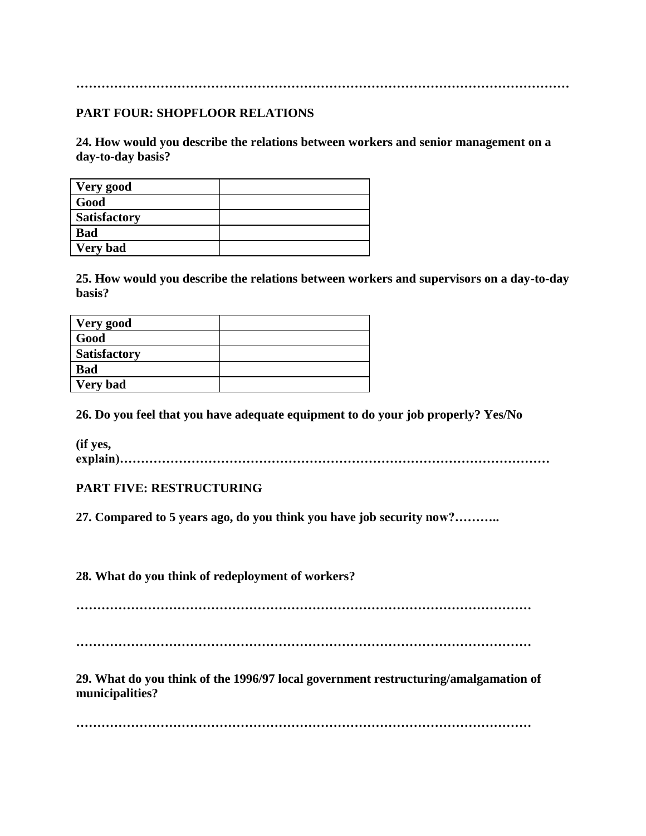#### **………………………………………………………………………………………………………**

#### **PART FOUR: SHOPFLOOR RELATIONS**

**24. How would you describe the relations between workers and senior management on a day-to-day basis?**

| <b>Very good</b>    |  |
|---------------------|--|
| Good                |  |
| <b>Satisfactory</b> |  |
| <b>Bad</b>          |  |
| <b>Very bad</b>     |  |

**25. How would you describe the relations between workers and supervisors on a day-to-day basis?**

| Very good           |  |
|---------------------|--|
| Good                |  |
| <b>Satisfactory</b> |  |
| <b>Bad</b>          |  |
| <b>Very bad</b>     |  |

**26. Do you feel that you have adequate equipment to do your job properly? Yes/No**

**(if yes, explain)…………………………………………………………………………………………**

#### **PART FIVE: RESTRUCTURING**

**27. Compared to 5 years ago, do you think you have job security now?………..**

**28. What do you think of redeployment of workers?**

**………………………………………………………………………………………………**

**………………………………………………………………………………………………**

**29. What do you think of the 1996/97 local government restructuring/amalgamation of municipalities?**

**………………………………………………………………………………………………**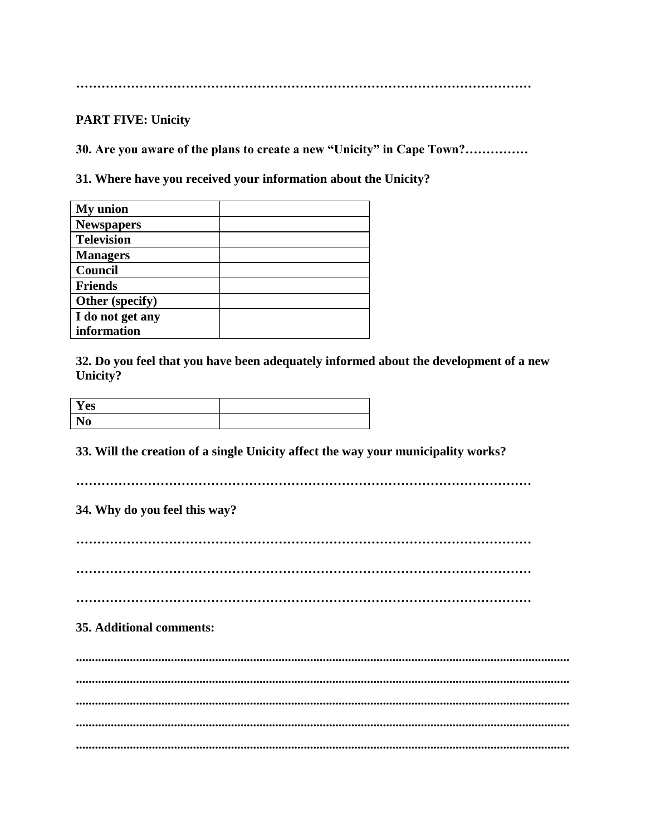#### **PART FIVE: Unicity**

30. Are you aware of the plans to create a new "Unicity" in Cape Town?...............

31. Where have you received your information about the Unicity?

| My union          |  |
|-------------------|--|
| <b>Newspapers</b> |  |
| <b>Television</b> |  |
| <b>Managers</b>   |  |
| Council           |  |
| <b>Friends</b>    |  |
| Other (specify)   |  |
| I do not get any  |  |
| information       |  |

32. Do you feel that you have been adequately informed about the development of a new **Unicity?** 

| <b>Yes</b>      |  |
|-----------------|--|
| м<br>$\sqrt{0}$ |  |

33. Will the creation of a single Unicity affect the way your municipality works?

.........

34. Why do you feel this way?

#### 35. Additional comments: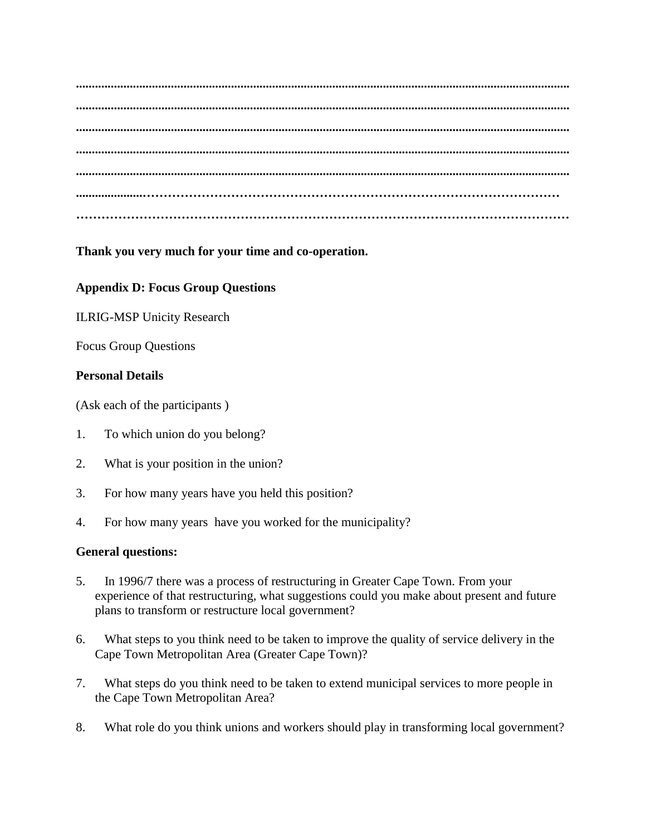**............................................................................................................................................................ ............................................................................................................................................................ ............................................................................................................................................................ ............................................................................................................................................................ ............................................................................................................................................................ .....................……………………………………………………………………………………… ………………………………………………………………………………………………………**

**Thank you very much for your time and co-operation.**

#### **Appendix D: Focus Group Questions**

ILRIG-MSP Unicity Research

Focus Group Questions

#### **Personal Details**

(Ask each of the participants )

- 1. To which union do you belong?
- 2. What is your position in the union?
- 3. For how many years have you held this position?
- 4. For how many years have you worked for the municipality?

#### **General questions:**

- 5. In 1996/7 there was a process of restructuring in Greater Cape Town. From your experience of that restructuring, what suggestions could you make about present and future plans to transform or restructure local government?
- 6. What steps to you think need to be taken to improve the quality of service delivery in the Cape Town Metropolitan Area (Greater Cape Town)?
- 7. What steps do you think need to be taken to extend municipal services to more people in the Cape Town Metropolitan Area?
- 8. What role do you think unions and workers should play in transforming local government?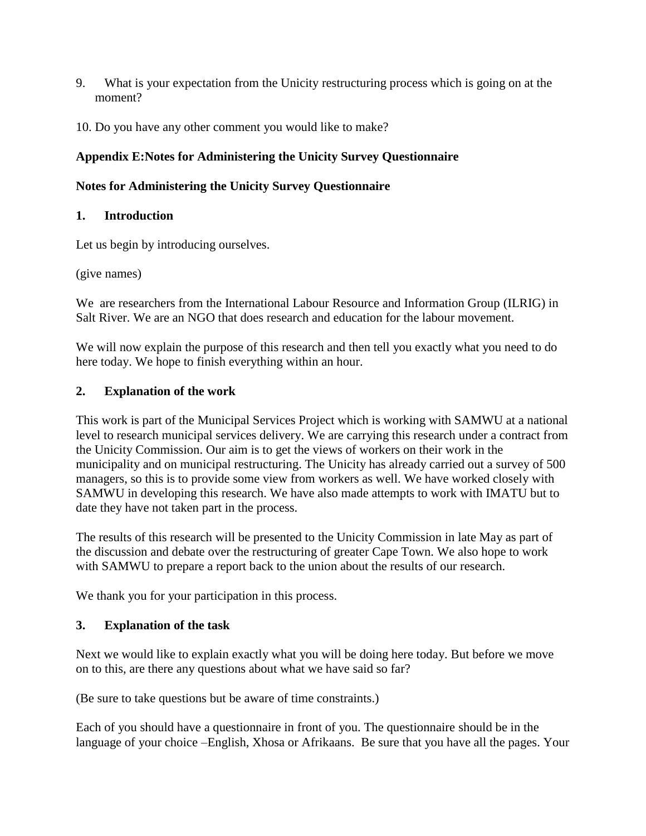- 9. What is your expectation from the Unicity restructuring process which is going on at the moment?
- 10. Do you have any other comment you would like to make?

# **Appendix E:Notes for Administering the Unicity Survey Questionnaire**

# **Notes for Administering the Unicity Survey Questionnaire**

## **1. Introduction**

Let us begin by introducing ourselves.

(give names)

We are researchers from the International Labour Resource and Information Group (ILRIG) in Salt River. We are an NGO that does research and education for the labour movement.

We will now explain the purpose of this research and then tell you exactly what you need to do here today. We hope to finish everything within an hour.

## **2. Explanation of the work**

This work is part of the Municipal Services Project which is working with SAMWU at a national level to research municipal services delivery. We are carrying this research under a contract from the Unicity Commission. Our aim is to get the views of workers on their work in the municipality and on municipal restructuring. The Unicity has already carried out a survey of 500 managers, so this is to provide some view from workers as well. We have worked closely with SAMWU in developing this research. We have also made attempts to work with IMATU but to date they have not taken part in the process.

The results of this research will be presented to the Unicity Commission in late May as part of the discussion and debate over the restructuring of greater Cape Town. We also hope to work with SAMWU to prepare a report back to the union about the results of our research.

We thank you for your participation in this process.

# **3. Explanation of the task**

Next we would like to explain exactly what you will be doing here today. But before we move on to this, are there any questions about what we have said so far?

(Be sure to take questions but be aware of time constraints.)

Each of you should have a questionnaire in front of you. The questionnaire should be in the language of your choice –English, Xhosa or Afrikaans. Be sure that you have all the pages. Your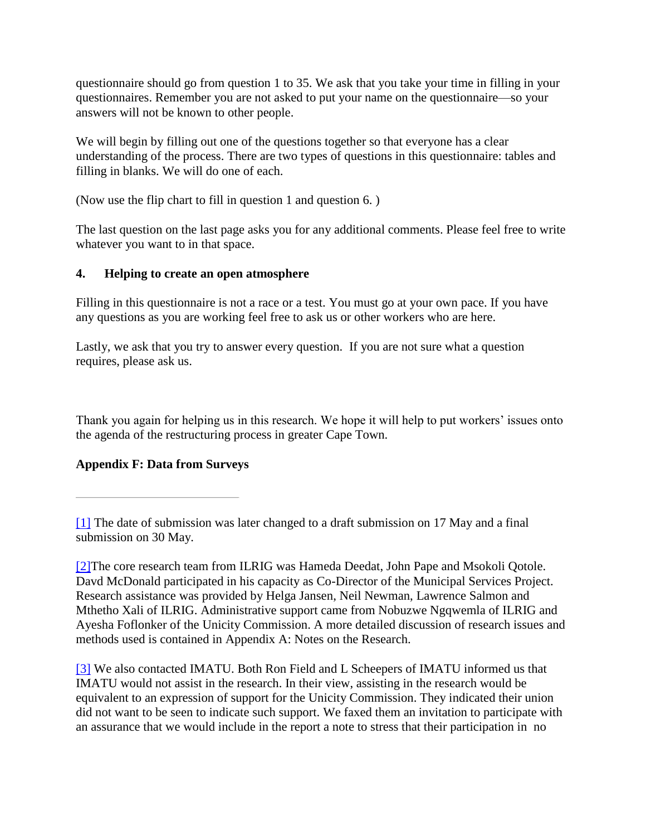questionnaire should go from question 1 to 35. We ask that you take your time in filling in your questionnaires. Remember you are not asked to put your name on the questionnaire—so your answers will not be known to other people.

We will begin by filling out one of the questions together so that everyone has a clear understanding of the process. There are two types of questions in this questionnaire: tables and filling in blanks. We will do one of each.

(Now use the flip chart to fill in question 1 and question 6. )

The last question on the last page asks you for any additional comments. Please feel free to write whatever you want to in that space.

#### **4. Helping to create an open atmosphere**

Filling in this questionnaire is not a race or a test. You must go at your own pace. If you have any questions as you are working feel free to ask us or other workers who are here.

Lastly, we ask that you try to answer every question. If you are not sure what a question requires, please ask us.

Thank you again for helping us in this research. We hope it will help to put workers' issues onto the agenda of the restructuring process in greater Cape Town.

#### **Appendix F: Data from Surveys**

[\[2\]T](http://www.queensu.ca/msp/pages/Project_Publications/Reports/survey.htm#_ftnref2)he core research team from ILRIG was Hameda Deedat, John Pape and Msokoli Qotole. Davd McDonald participated in his capacity as Co-Director of the Municipal Services Project. Research assistance was provided by Helga Jansen, Neil Newman, Lawrence Salmon and Mthetho Xali of ILRIG. Administrative support came from Nobuzwe Ngqwemla of ILRIG and Ayesha Foflonker of the Unicity Commission. A more detailed discussion of research issues and methods used is contained in Appendix A: Notes on the Research.

[\[3\]](http://www.queensu.ca/msp/pages/Project_Publications/Reports/survey.htm#_ftnref3) We also contacted IMATU. Both Ron Field and L Scheepers of IMATU informed us that IMATU would not assist in the research. In their view, assisting in the research would be equivalent to an expression of support for the Unicity Commission. They indicated their union did not want to be seen to indicate such support. We faxed them an invitation to participate with an assurance that we would include in the report a note to stress that their participation in no

[<sup>\[1\]</sup>](http://www.queensu.ca/msp/pages/Project_Publications/Reports/survey.htm#_ftnref1) The date of submission was later changed to a draft submission on 17 May and a final submission on 30 May.